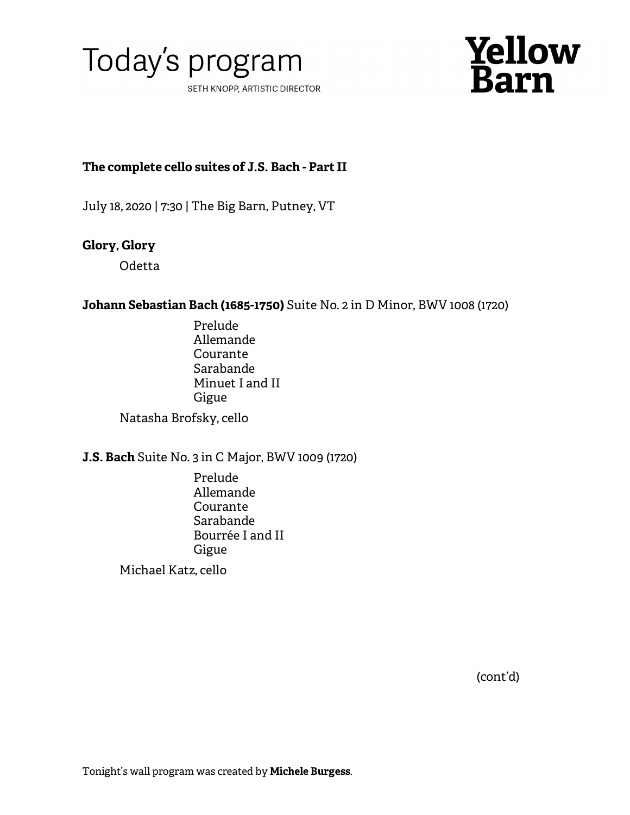



# **The complete cello suites of J.S. Bach - Part II**

July 18, 2020 | 7:30 | The Big Barn, Putney, VT

# **Glory, Glory**

**Odetta** 

### **Johann Sebastian Bach (1685-1750)** Suite No. 2 in D Minor, BWV 1008 (1720)

Prelude Allemande Courante Sarabande Minuet I and II Gigue Natasha Brofsky, cello

# **J.S. Bach** Suite No. 3 in C Major, BWV 1009 (1720)

Prelude Allemande Courante Sarabande Bourrée I and II Gigue

Michael Katz, cello

(cont'd)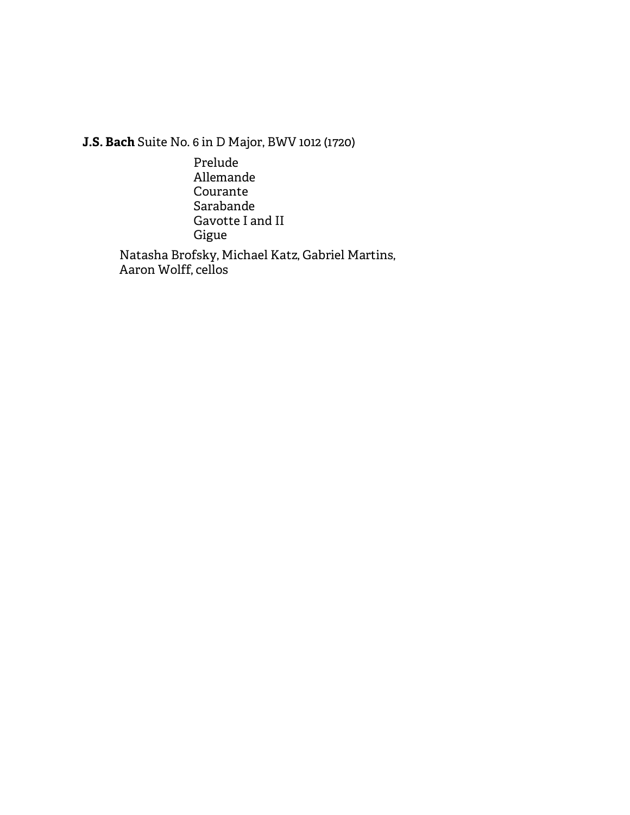**J.S. Bach** Suite No. 6 in D Major, BWV 1012 (1720)

Prelude Allemande Courante Sarabande Gavotte I and II Gigue

Natasha Brofsky, Michael Katz, Gabriel Martins, Aaron Wolff, cellos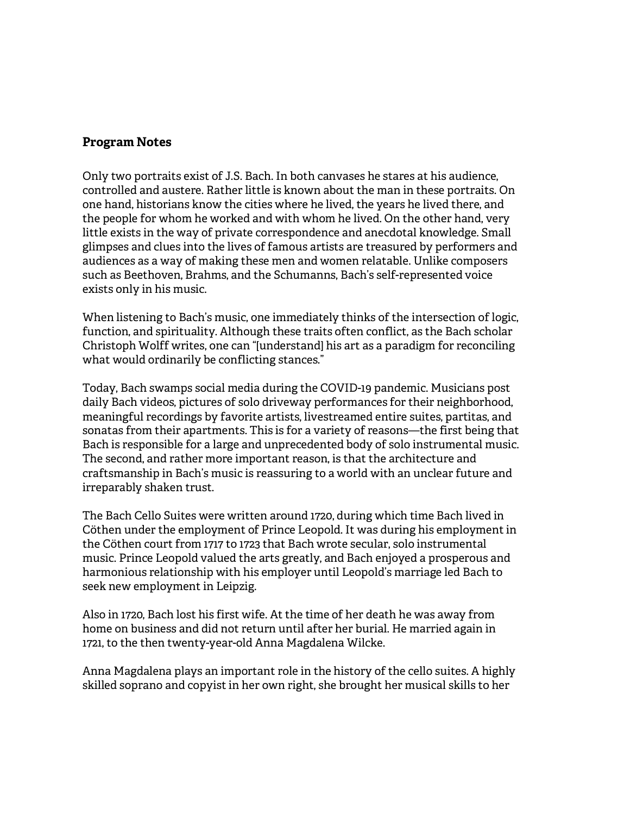#### **Program Notes**

Only two portraits exist of J.S. Bach. In both canvases he stares at his audience, controlled and austere. Rather little is known about the man in these portraits. On one hand, historians know the cities where he lived, the years he lived there, and the people for whom he worked and with whom he lived. On the other hand, very little exists in the way of private correspondence and anecdotal knowledge. Small glimpses and clues into the lives of famous artists are treasured by performers and audiences as a way of making these men and women relatable. Unlike composers such as Beethoven, Brahms, and the Schumanns, Bach's self-represented voice exists only in his music.

When listening to Bach's music, one immediately thinks of the intersection of logic, function, and spirituality. Although these traits often conflict, as the Bach scholar Christoph Wolff writes, one can "[understand] his art as a paradigm for reconciling what would ordinarily be conflicting stances."

Today, Bach swamps social media during the COVID-19 pandemic. Musicians post daily Bach videos, pictures of solo driveway performances for their neighborhood, meaningful recordings by favorite artists, livestreamed entire suites, partitas, and sonatas from their apartments. This is for a variety of reasons—the first being that Bach is responsible for a large and unprecedented body of solo instrumental music. The second, and rather more important reason, is that the architecture and craftsmanship in Bach's music is reassuring to a world with an unclear future and irreparably shaken trust.

The Bach Cello Suites were written around 1720, during which time Bach lived in Cöthen under the employment of Prince Leopold. It was during his employment in the Cöthen court from 1717 to 1723 that Bach wrote secular, solo instrumental music. Prince Leopold valued the arts greatly, and Bach enjoyed a prosperous and harmonious relationship with his employer until Leopold's marriage led Bach to seek new employment in Leipzig.

Also in 1720, Bach lost his first wife. At the time of her death he was away from home on business and did not return until after her burial. He married again in 1721, to the then twenty-year-old Anna Magdalena Wilcke.

Anna Magdalena plays an important role in the history of the cello suites. A highly skilled soprano and copyist in her own right, she brought her musical skills to her